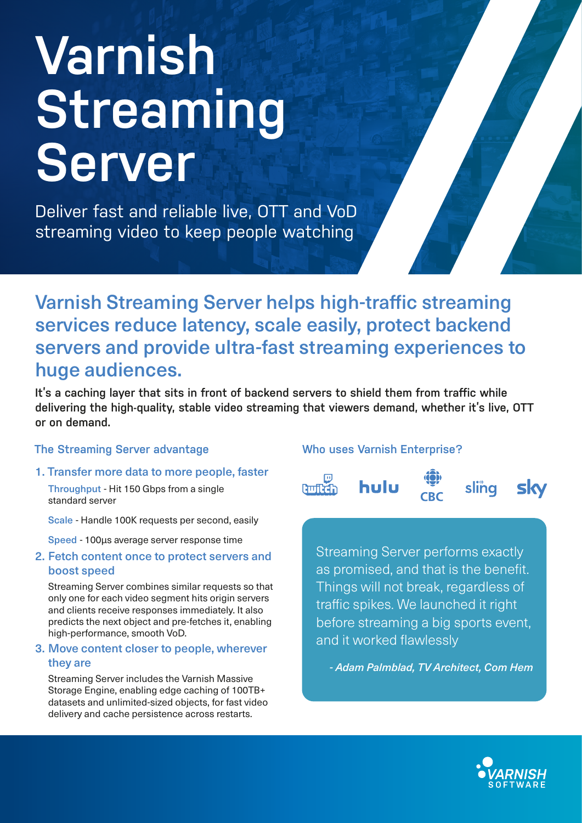# **Varnish Streaming Server**

Deliver fast and reliable live, OTT and VoD streaming video to keep people watching

Varnish Streaming Server helps high-traffic streaming services reduce latency, scale easily, protect backend servers and provide ultra-fast streaming experiences to huge audiences.

**It's a caching layer that sits in front of backend servers to shield them from traffic while delivering the high-quality, stable video streaming that viewers demand, whether it's live, OTT or on demand.**

## **The Streaming Server advantage**

1. Transfer more data to more people, faster

Throughput - Hit 150 Gbps from a single standard server

Scale - Handle 100K requests per second, easily

Speed - 100μs average server response time

2. Fetch content once to protect servers and boost speed

Streaming Server combines similar requests so that only one for each video segment hits origin servers and clients receive responses immediately. It also predicts the next object and pre-fetches it, enabling high-performance, smooth VoD.

#### 3. Move content closer to people, wherever they are

Streaming Server includes the Varnish Massive Storage Engine, enabling edge caching of 100TB+ datasets and unlimited-sized objects, for fast video delivery and cache persistence across restarts.

# **Who uses Varnish Enterprise?**



Streaming Server performs exactly as promised, and that is the benefit. Things will not break, regardless of traffic spikes. We launched it right before streaming a big sports event, and it worked flawlessly

*- Adam Palmblad, TV Architect, Com Hem*